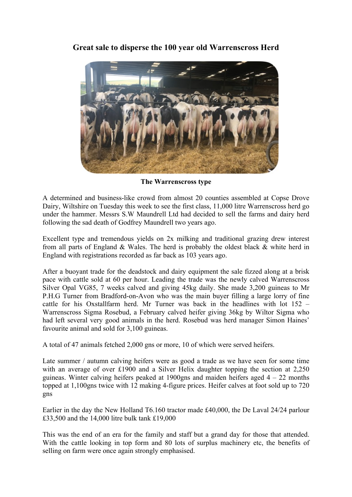**Great sale to disperse the 100 year old Warrenscross Herd**



**The Warrenscross type**

A determined and business-like crowd from almost 20 counties assembled at Copse Drove Dairy, Wiltshire on Tuesday this week to see the first class, 11,000 litre Warrenscross herd go under the hammer. Messrs S.W Maundrell Ltd had decided to sell the farms and dairy herd following the sad death of Godfrey Maundrell two years ago.

Excellent type and tremendous yields on 2x milking and traditional grazing drew interest from all parts of England & Wales. The herd is probably the oldest black & white herd in England with registrations recorded as far back as 103 years ago.

After a buoyant trade for the deadstock and dairy equipment the sale fizzed along at a brisk pace with cattle sold at 60 per hour. Leading the trade was the newly calved Warrenscross Silver Opal VG85, 7 weeks calved and giving 45kg daily. She made 3,200 guineas to Mr P.H.G Turner from Bradford-on-Avon who was the main buyer filling a large lorry of fine cattle for his Oxstallfarm herd. Mr Turner was back in the headlines with lot 152 – Warrenscross Sigma Rosebud, a February calved heifer giving 36kg by Wiltor Sigma who had left several very good animals in the herd. Rosebud was herd manager Simon Haines' favourite animal and sold for 3,100 guineas.

A total of 47 animals fetched 2,000 gns or more, 10 of which were served heifers.

Late summer / autumn calving heifers were as good a trade as we have seen for some time with an average of over £1900 and a Silver Helix daughter topping the section at 2,250 guineas. Winter calving heifers peaked at 1900gns and maiden heifers aged  $4 - 22$  months topped at 1,100gns twice with 12 making 4-figure prices. Heifer calves at foot sold up to 720 gns

Earlier in the day the New Holland T6.160 tractor made £40,000, the De Laval 24/24 parlour £33,500 and the 14,000 litre bulk tank £19,000

This was the end of an era for the family and staff but a grand day for those that attended. With the cattle looking in top form and 80 lots of surplus machinery etc, the benefits of selling on farm were once again strongly emphasised.